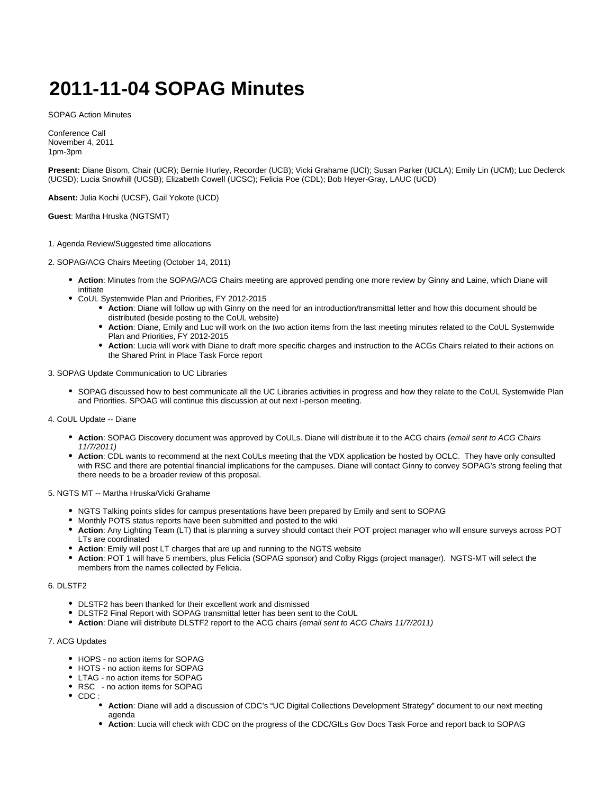# **2011-11-04 SOPAG Minutes**

SOPAG Action Minutes

Conference Call November 4, 2011 1pm-3pm

**Present:** Diane Bisom, Chair (UCR); Bernie Hurley, Recorder (UCB); Vicki Grahame (UCI); Susan Parker (UCLA); Emily Lin (UCM); Luc Declerck (UCSD); Lucia Snowhill (UCSB); Elizabeth Cowell (UCSC); Felicia Poe (CDL); Bob Heyer-Gray, LAUC (UCD)

**Absent:** Julia Kochi (UCSF), Gail Yokote (UCD)

**Guest**: Martha Hruska (NGTSMT)

#### 1. Agenda Review/Suggested time allocations

- 2. SOPAG/ACG Chairs Meeting (October 14, 2011)
	- **Action**: Minutes from the SOPAG/ACG Chairs meeting are approved pending one more review by Ginny and Laine, which Diane will intitiate
	- CoUL Systemwide Plan and Priorities, FY 2012-2015
		- **Action**: Diane will follow up with Ginny on the need for an introduction/transmittal letter and how this document should be distributed (beside posting to the CoUL website)
		- **Action**: Diane, Emily and Luc will work on the two action items from the last meeting minutes related to the CoUL Systemwide Plan and Priorities, FY 2012-2015
		- **Action**: Lucia will work with Diane to draft more specific charges and instruction to the ACGs Chairs related to their actions on the Shared Print in Place Task Force report

3. SOPAG Update Communication to UC Libraries

- SOPAG discussed how to best communicate all the UC Libraries activities in progress and how they relate to the CoUL Systemwide Plan and Priorities. SPOAG will continue this discussion at out next i-person meeting.
- 4. CoUL Update -- Diane
	- **Action**: SOPAG Discovery document was approved by CoULs. Diane will distribute it to the ACG chairs (email sent to ACG Chairs 11/7/2011)
	- **Action**: CDL wants to recommend at the next CoULs meeting that the VDX application be hosted by OCLC. They have only consulted with RSC and there are potential financial implications for the campuses. Diane will contact Ginny to convey SOPAG's strong feeling that there needs to be a broader review of this proposal.

5. NGTS MT -- Martha Hruska/Vicki Grahame

- NGTS Talking points slides for campus presentations have been prepared by Emily and sent to SOPAG
- Monthly POTS status reports have been submitted and posted to the wiki
- **Action**: Any Lighting Team (LT) that is planning a survey should contact their POT project manager who will ensure surveys across POT LTs are coordinated
- **Action**: Emily will post LT charges that are up and running to the NGTS website
- **Action**: POT 1 will have 5 members, plus Felicia (SOPAG sponsor) and Colby Riggs (project manager). NGTS-MT will select the members from the names collected by Felicia.

## 6. DLSTF<sub>2</sub>

- DLSTF2 has been thanked for their excellent work and dismissed
- DLSTF2 Final Report with SOPAG transmittal letter has been sent to the CoUL
- **Action**: Diane will distribute DLSTF2 report to the ACG chairs (email sent to ACG Chairs 11/7/2011)

## 7. ACG Updates

- HOPS no action items for SOPAG
- HOTS no action items for SOPAG
- LTAG no action items for SOPAG
- RSC no action items for SOPAG
- CDC:
	- **Action**: Diane will add a discussion of CDC's "UC Digital Collections Development Strategy" document to our next meeting agenda
	- **Action**: Lucia will check with CDC on the progress of the CDC/GILs Gov Docs Task Force and report back to SOPAG